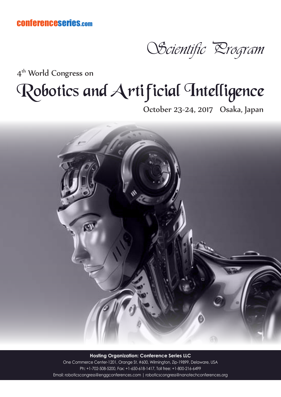conferenceseries.com

OScientific *Drogram* 

4<sup>th</sup> World Congress on

# Robotics and Artificial Intelligence

October 23-24, 2017 Osaka, Japan



**Hosting Organization: Conference Series LLC** One Commerce Center-1201, Orange St. #600, Wilmington, Zip-19899, Delaware, USA Ph: +1-702-508-5200, Fax: +1-650-618-1417, Toll free: +1-800-216-6499 Email: roboticscongress@enggconferences.com | roboticscongress@nanotechconferences.org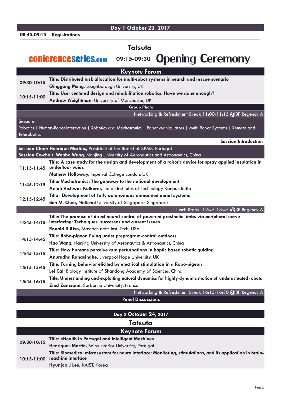|  | 08:45-09:15 | <b>Registrations</b> |
|--|-------------|----------------------|
|--|-------------|----------------------|

**Day 1 October 23, 2017**

**Tatsuta**

#### conferenceseries.com **09:15-09:30** Opening Ceremony

**Keynote Forum 09:30-10:15 Title: Distributed task allocation for multi-robot systems in search and rescue scenario Qinggang Meng,** Loughborough University, UK **10:15-11:00 Title: User centered design and rehabilitation robotics: Have we done enough? Andrew Weightman,** University of Manchester, UK **Group Photo** Networking & Refreshment Break 11:00-11:15 @3F Regency A Sessions: Robotics | Human-Robot Interaction | Robotics and Mechatronics | Robot Manipulators | Multi Robot Systems | Remote and **Telerobotics Session Introduction Session Chair: Henrique Martins,** President of the Board of SPMS, Portugal **Session Co-chair: Wenbo Wang,** Nanjing University of Aeronautics and Astronautics, China **11:15-11:45 Title: A case study for the design and development of a robotic device for spray applied insulation in underfloor voids Mathew Holloway,** Imperial College London, UK **11:45-12:15 Title: Mechatronics: The gateway to the national development Anjali Vishwas Kulkarni,** Indian Institutes of Technology Kanpur, India **12:15-12:45 Title : Development of fully autonomous unmanned aerial systems Ben M. Chen,** National University of Singapore, Singapore Lunch Break 12:45-13:45 @3F Regency A **13:45-14:15 Title: The promise of direct neural control of powered prosthetic limbs via peripheral nerve interfacing: Techniques, successes and current issues Ronald R Riso,** Massachusetts Inst. Tech, USA **14:15-14:45 Title: Robo-pigeon flying under preprogram-control outdoors Hao Wang,** Nanjing University of Aeronautics & Astronautics, China **14:45-15:15 Title: How humans perceive arm perturbations in haptic based robotic guiding Anuradha Ranasinghe,** Liverpool Hope University, UK **15:15-15:45 Title: Turning behavior elicited by electrical stimulation in a Robo-pigeon** Lei Cai, Biology Institute of Shandong Academy of Sciences, China **15:45-16:15 Title: Understanding and exploiting natural dynamics for highly dynamic motion of underactuated robots Ziad Zamzami,** Sorbonne University, France Networking & Refreshment Break 16:15-16:30 @3F Regency A

**Panel Discussions**

| Day 2 October 24, 2017 |                                                                                                                                 |  |  |  |
|------------------------|---------------------------------------------------------------------------------------------------------------------------------|--|--|--|
| <b>Tatsuta</b>         |                                                                                                                                 |  |  |  |
| <b>Keynote Forum</b>   |                                                                                                                                 |  |  |  |
| 09:30-10:15            | Title: eHealth in Portugal and Intelligent Machines                                                                             |  |  |  |
|                        | Henriques Martin, Beira Interior University, Portugal                                                                           |  |  |  |
| $10:15 - 11:00$        | Title: Biomedical microsystem for neuro interface: Monitoring, stimulations, and its application in brain-<br>machine interface |  |  |  |
|                        | Hyunjoo J Lee, KAIST, Korea                                                                                                     |  |  |  |